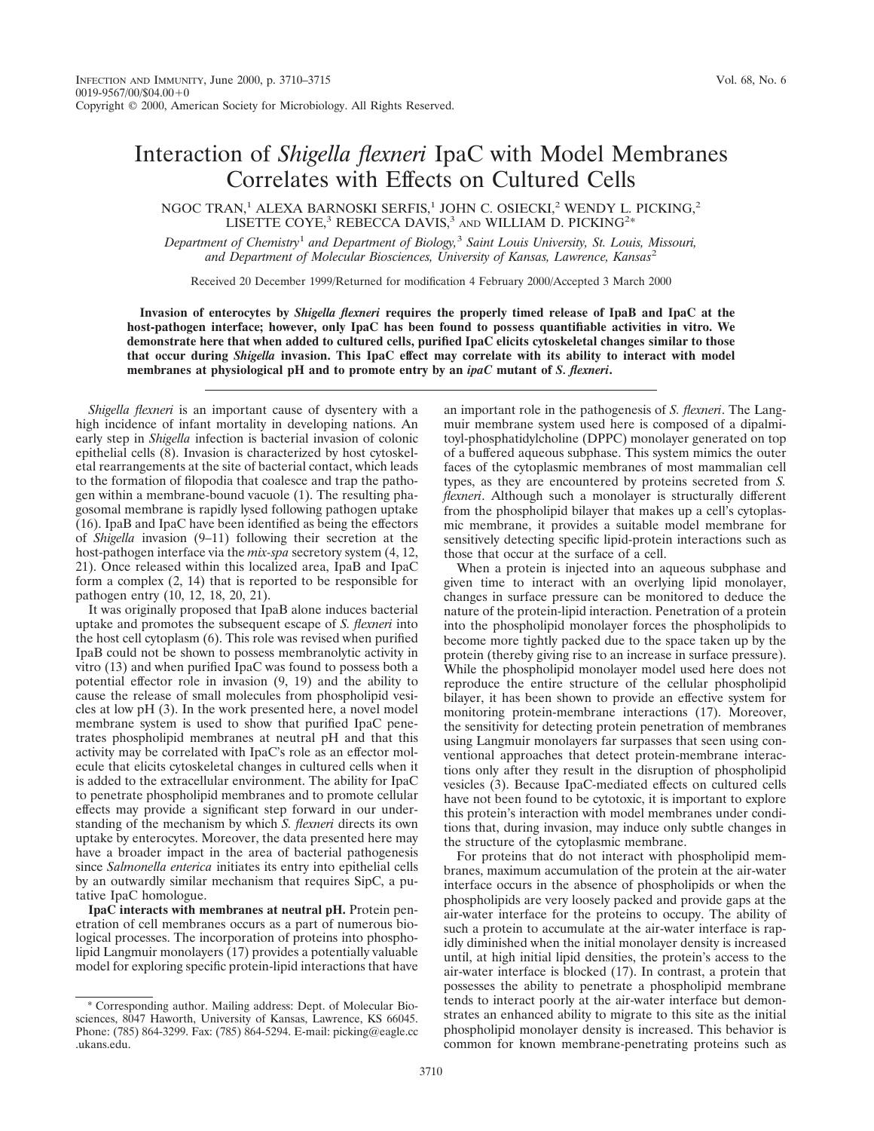## Interaction of *Shigella flexneri* IpaC with Model Membranes Correlates with Effects on Cultured Cells

NGOC TRAN,<sup>1</sup> ALEXA BARNOSKI SERFIS,<sup>1</sup> JOHN C. OSIECKI,<sup>2</sup> WENDY L. PICKING,<sup>2</sup> LISETTE COYE,<sup>3</sup> REBECCA DAVIS,<sup>3</sup> AND WILLIAM D. PICKING<sup>2\*</sup>

*Department of Chemistry*<sup>1</sup> *and Department of Biology,*<sup>3</sup> *Saint Louis University, St. Louis, Missouri, and Department of Molecular Biosciences, University of Kansas, Lawrence, Kansas*<sup>2</sup>

Received 20 December 1999/Returned for modification 4 February 2000/Accepted 3 March 2000

**Invasion of enterocytes by** *Shigella flexneri* **requires the properly timed release of IpaB and IpaC at the host-pathogen interface; however, only IpaC has been found to possess quantifiable activities in vitro. We demonstrate here that when added to cultured cells, purified IpaC elicits cytoskeletal changes similar to those that occur during** *Shigella* **invasion. This IpaC effect may correlate with its ability to interact with model membranes at physiological pH and to promote entry by an** *ipaC* **mutant of** *S. flexneri***.**

*Shigella flexneri* is an important cause of dysentery with a high incidence of infant mortality in developing nations. An early step in *Shigella* infection is bacterial invasion of colonic epithelial cells (8). Invasion is characterized by host cytoskeletal rearrangements at the site of bacterial contact, which leads to the formation of filopodia that coalesce and trap the pathogen within a membrane-bound vacuole (1). The resulting phagosomal membrane is rapidly lysed following pathogen uptake (16). IpaB and IpaC have been identified as being the effectors of *Shigella* invasion (9–11) following their secretion at the host-pathogen interface via the *mix-spa* secretory system (4, 12, 21). Once released within this localized area, IpaB and IpaC form a complex (2, 14) that is reported to be responsible for pathogen entry (10, 12, 18, 20, 21).

It was originally proposed that IpaB alone induces bacterial uptake and promotes the subsequent escape of *S. flexneri* into the host cell cytoplasm (6). This role was revised when purified IpaB could not be shown to possess membranolytic activity in vitro (13) and when purified IpaC was found to possess both a potential effector role in invasion (9, 19) and the ability to cause the release of small molecules from phospholipid vesicles at low pH (3). In the work presented here, a novel model membrane system is used to show that purified IpaC penetrates phospholipid membranes at neutral pH and that this activity may be correlated with IpaC's role as an effector molecule that elicits cytoskeletal changes in cultured cells when it is added to the extracellular environment. The ability for IpaC to penetrate phospholipid membranes and to promote cellular effects may provide a significant step forward in our understanding of the mechanism by which *S. flexneri* directs its own uptake by enterocytes. Moreover, the data presented here may have a broader impact in the area of bacterial pathogenesis since *Salmonella enterica* initiates its entry into epithelial cells by an outwardly similar mechanism that requires SipC, a putative IpaC homologue.

**IpaC interacts with membranes at neutral pH.** Protein penetration of cell membranes occurs as a part of numerous biological processes. The incorporation of proteins into phospholipid Langmuir monolayers (17) provides a potentially valuable model for exploring specific protein-lipid interactions that have

an important role in the pathogenesis of *S. flexneri*. The Langmuir membrane system used here is composed of a dipalmitoyl-phosphatidylcholine (DPPC) monolayer generated on top of a buffered aqueous subphase. This system mimics the outer faces of the cytoplasmic membranes of most mammalian cell types, as they are encountered by proteins secreted from *S. flexneri*. Although such a monolayer is structurally different from the phospholipid bilayer that makes up a cell's cytoplasmic membrane, it provides a suitable model membrane for sensitively detecting specific lipid-protein interactions such as those that occur at the surface of a cell.

When a protein is injected into an aqueous subphase and given time to interact with an overlying lipid monolayer, changes in surface pressure can be monitored to deduce the nature of the protein-lipid interaction. Penetration of a protein into the phospholipid monolayer forces the phospholipids to become more tightly packed due to the space taken up by the protein (thereby giving rise to an increase in surface pressure). While the phospholipid monolayer model used here does not reproduce the entire structure of the cellular phospholipid bilayer, it has been shown to provide an effective system for monitoring protein-membrane interactions (17). Moreover, the sensitivity for detecting protein penetration of membranes using Langmuir monolayers far surpasses that seen using conventional approaches that detect protein-membrane interactions only after they result in the disruption of phospholipid vesicles (3). Because IpaC-mediated effects on cultured cells have not been found to be cytotoxic, it is important to explore this protein's interaction with model membranes under conditions that, during invasion, may induce only subtle changes in the structure of the cytoplasmic membrane.

For proteins that do not interact with phospholipid membranes, maximum accumulation of the protein at the air-water interface occurs in the absence of phospholipids or when the phospholipids are very loosely packed and provide gaps at the air-water interface for the proteins to occupy. The ability of such a protein to accumulate at the air-water interface is rapidly diminished when the initial monolayer density is increased until, at high initial lipid densities, the protein's access to the air-water interface is blocked (17). In contrast, a protein that possesses the ability to penetrate a phospholipid membrane tends to interact poorly at the air-water interface but demonstrates an enhanced ability to migrate to this site as the initial phospholipid monolayer density is increased. This behavior is common for known membrane-penetrating proteins such as

<sup>\*</sup> Corresponding author. Mailing address: Dept. of Molecular Biosciences, 8047 Haworth, University of Kansas, Lawrence, KS 66045. Phone: (785) 864-3299. Fax: (785) 864-5294. E-mail: picking@eagle.cc .ukans.edu.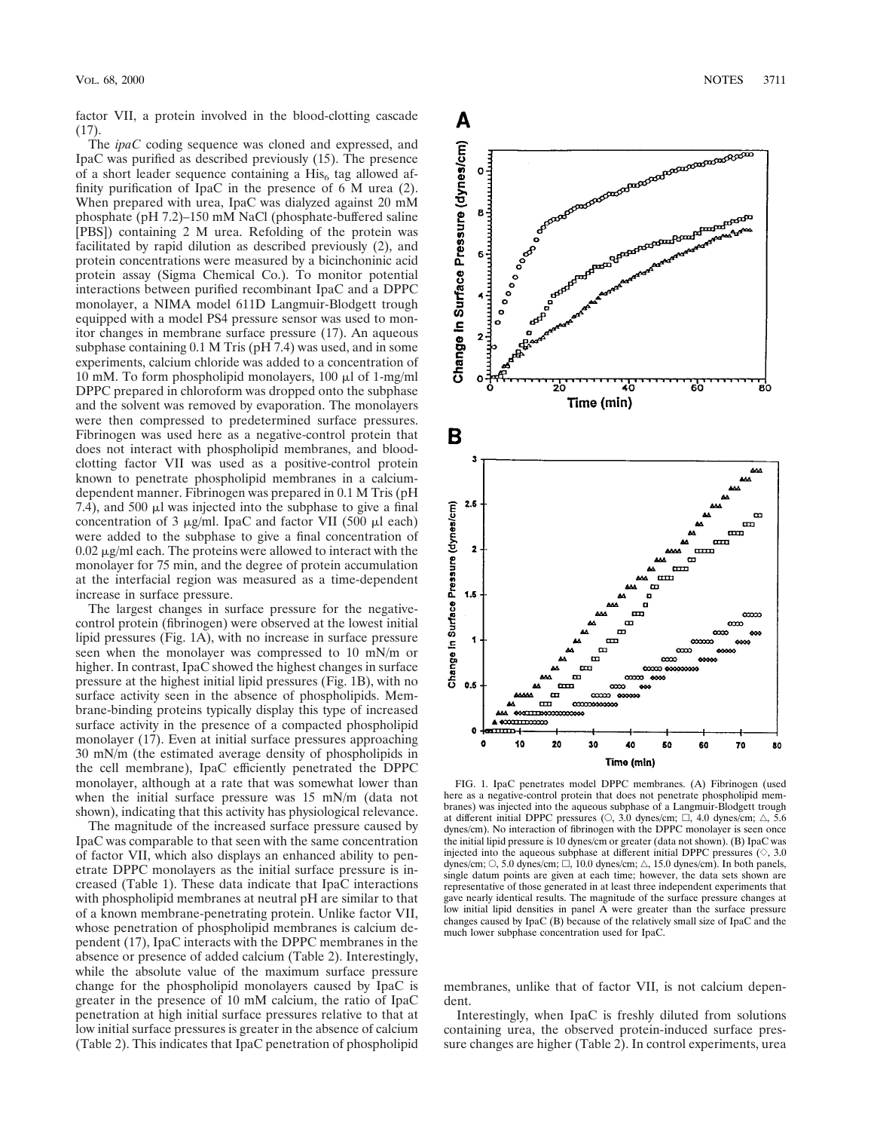factor VII, a protein involved in the blood-clotting cascade (17).

The *ipaC* coding sequence was cloned and expressed, and IpaC was purified as described previously (15). The presence of a short leader sequence containing a  $His<sub>6</sub>$  tag allowed affinity purification of IpaC in the presence of 6 M urea (2). When prepared with urea, IpaC was dialyzed against 20 mM phosphate (pH 7.2)–150 mM NaCl (phosphate-buffered saline [PBS]) containing 2 M urea. Refolding of the protein was facilitated by rapid dilution as described previously (2), and protein concentrations were measured by a bicinchoninic acid protein assay (Sigma Chemical Co.). To monitor potential interactions between purified recombinant IpaC and a DPPC monolayer, a NIMA model 611D Langmuir-Blodgett trough equipped with a model PS4 pressure sensor was used to monitor changes in membrane surface pressure (17). An aqueous subphase containing 0.1 M Tris (pH 7.4) was used, and in some experiments, calcium chloride was added to a concentration of 10 mM. To form phospholipid monolayers, 100  $\mu$ l of 1-mg/ml DPPC prepared in chloroform was dropped onto the subphase and the solvent was removed by evaporation. The monolayers were then compressed to predetermined surface pressures. Fibrinogen was used here as a negative-control protein that does not interact with phospholipid membranes, and bloodclotting factor VII was used as a positive-control protein known to penetrate phospholipid membranes in a calciumdependent manner. Fibrinogen was prepared in 0.1 M Tris (pH 7.4), and 500  $\mu$ l was injected into the subphase to give a final concentration of 3  $\mu$ g/ml. IpaC and factor VII (500  $\mu$ l each) were added to the subphase to give a final concentration of  $0.02 \mu$ g/ml each. The proteins were allowed to interact with the monolayer for 75 min, and the degree of protein accumulation at the interfacial region was measured as a time-dependent increase in surface pressure.

The largest changes in surface pressure for the negativecontrol protein (fibrinogen) were observed at the lowest initial lipid pressures (Fig. 1A), with no increase in surface pressure seen when the monolayer was compressed to 10 mN/m or higher. In contrast, IpaC showed the highest changes in surface pressure at the highest initial lipid pressures (Fig. 1B), with no surface activity seen in the absence of phospholipids. Membrane-binding proteins typically display this type of increased surface activity in the presence of a compacted phospholipid monolayer (17). Even at initial surface pressures approaching 30 mN/m (the estimated average density of phospholipids in the cell membrane), IpaC efficiently penetrated the DPPC monolayer, although at a rate that was somewhat lower than when the initial surface pressure was 15 mN/m (data not shown), indicating that this activity has physiological relevance.

The magnitude of the increased surface pressure caused by IpaC was comparable to that seen with the same concentration of factor VII, which also displays an enhanced ability to penetrate DPPC monolayers as the initial surface pressure is increased (Table 1). These data indicate that IpaC interactions with phospholipid membranes at neutral pH are similar to that of a known membrane-penetrating protein. Unlike factor VII, whose penetration of phospholipid membranes is calcium dependent (17), IpaC interacts with the DPPC membranes in the absence or presence of added calcium (Table 2). Interestingly, while the absolute value of the maximum surface pressure change for the phospholipid monolayers caused by IpaC is greater in the presence of 10 mM calcium, the ratio of IpaC penetration at high initial surface pressures relative to that at low initial surface pressures is greater in the absence of calcium (Table 2). This indicates that IpaC penetration of phospholipid



FIG. 1. IpaC penetrates model DPPC membranes. (A) Fibrinogen (used here as a negative-control protein that does not penetrate phospholipid membranes) was injected into the aqueous subphase of a Langmuir-Blodgett trough at different initial DPPC pressures ( $\circ$ , 3.0 dynes/cm;  $\Box$ , 4.0 dynes/cm;  $\triangle$ , 5.6 dynes/cm). No interaction of fibrinogen with the DPPC monolayer is seen once the initial lipid pressure is 10 dynes/cm or greater (data not shown). (B) IpaC was injected into the aqueous subphase at different initial DPPC pressures  $(\Diamond, 3.0)$ dynes/cm;  $\circ$ , 5.0 dynes/cm;  $\Box$ , 10.0 dynes/cm;  $\triangle$ , 15.0 dynes/cm). In both panels, single datum points are given at each time; however, the data sets shown are representative of those generated in at least three independent experiments that gave nearly identical results. The magnitude of the surface pressure changes at low initial lipid densities in panel A were greater than the surface pressure changes caused by IpaC (B) because of the relatively small size of IpaC and the much lower subphase concentration used for IpaC.

membranes, unlike that of factor VII, is not calcium dependent.

Interestingly, when IpaC is freshly diluted from solutions containing urea, the observed protein-induced surface pressure changes are higher (Table 2). In control experiments, urea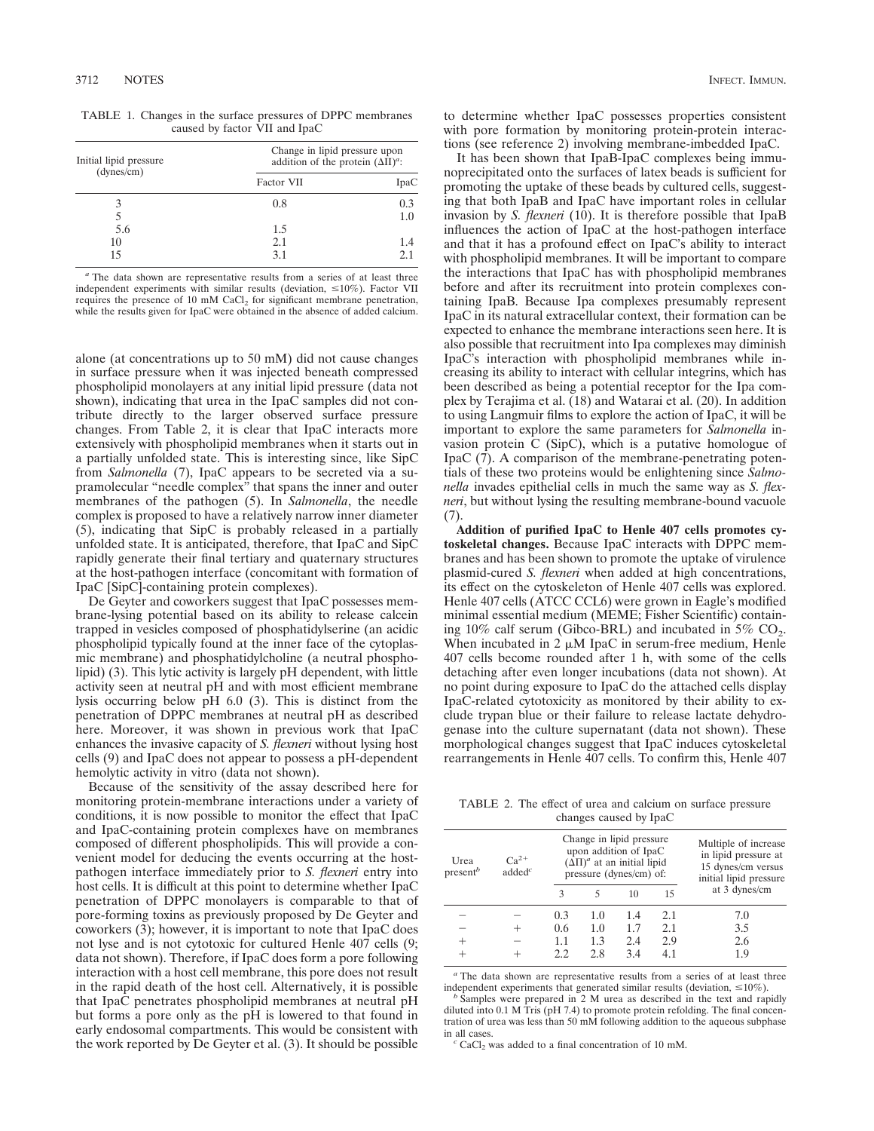|                               | TABLE 1. Changes in the surface pressures of DPPC membranes |  |  |  |  |  |
|-------------------------------|-------------------------------------------------------------|--|--|--|--|--|
| caused by factor VII and IpaC |                                                             |  |  |  |  |  |

| Initial lipid pressure | Change in lipid pressure upon<br>addition of the protein $(\Delta II)^a$ : |      |  |
|------------------------|----------------------------------------------------------------------------|------|--|
| (dynes/cm)             | Factor VII                                                                 | IpaC |  |
|                        | 0.8                                                                        | 0.3  |  |
|                        |                                                                            | 1.0  |  |
| 5.6                    | 1.5                                                                        |      |  |
| 10                     | 2.1                                                                        | 1.4  |  |
|                        | 3.1                                                                        | 2.1  |  |

*<sup>a</sup>* The data shown are representative results from a series of at least three independent experiments with similar results (deviation,  $\leq 10\%$ ). Factor VII requires the presence of 10 mM CaCl<sub>2</sub> for significant membrane penetration, while the results given for IpaC were obtained in the absence of added calcium.

alone (at concentrations up to 50 mM) did not cause changes in surface pressure when it was injected beneath compressed phospholipid monolayers at any initial lipid pressure (data not shown), indicating that urea in the IpaC samples did not contribute directly to the larger observed surface pressure changes. From Table 2, it is clear that IpaC interacts more extensively with phospholipid membranes when it starts out in a partially unfolded state. This is interesting since, like SipC from *Salmonella* (7), IpaC appears to be secreted via a supramolecular "needle complex" that spans the inner and outer membranes of the pathogen (5). In *Salmonella*, the needle complex is proposed to have a relatively narrow inner diameter (5), indicating that SipC is probably released in a partially unfolded state. It is anticipated, therefore, that IpaC and SipC rapidly generate their final tertiary and quaternary structures at the host-pathogen interface (concomitant with formation of IpaC [SipC]-containing protein complexes).

De Geyter and coworkers suggest that IpaC possesses membrane-lysing potential based on its ability to release calcein trapped in vesicles composed of phosphatidylserine (an acidic phospholipid typically found at the inner face of the cytoplasmic membrane) and phosphatidylcholine (a neutral phospholipid) (3). This lytic activity is largely pH dependent, with little activity seen at neutral pH and with most efficient membrane lysis occurring below pH 6.0 (3). This is distinct from the penetration of DPPC membranes at neutral pH as described here. Moreover, it was shown in previous work that IpaC enhances the invasive capacity of *S. flexneri* without lysing host cells (9) and IpaC does not appear to possess a pH-dependent hemolytic activity in vitro (data not shown).

Because of the sensitivity of the assay described here for monitoring protein-membrane interactions under a variety of conditions, it is now possible to monitor the effect that IpaC and IpaC-containing protein complexes have on membranes composed of different phospholipids. This will provide a convenient model for deducing the events occurring at the hostpathogen interface immediately prior to *S. flexneri* entry into host cells. It is difficult at this point to determine whether IpaC penetration of DPPC monolayers is comparable to that of pore-forming toxins as previously proposed by De Geyter and coworkers (3); however, it is important to note that IpaC does not lyse and is not cytotoxic for cultured Henle 407 cells (9; data not shown). Therefore, if IpaC does form a pore following interaction with a host cell membrane, this pore does not result in the rapid death of the host cell. Alternatively, it is possible that IpaC penetrates phospholipid membranes at neutral pH but forms a pore only as the pH is lowered to that found in early endosomal compartments. This would be consistent with the work reported by De Geyter et al. (3). It should be possible

to determine whether IpaC possesses properties consistent with pore formation by monitoring protein-protein interactions (see reference 2) involving membrane-imbedded IpaC.

It has been shown that IpaB-IpaC complexes being immunoprecipitated onto the surfaces of latex beads is sufficient for promoting the uptake of these beads by cultured cells, suggesting that both IpaB and IpaC have important roles in cellular invasion by *S. flexneri* (10). It is therefore possible that IpaB influences the action of IpaC at the host-pathogen interface and that it has a profound effect on IpaC's ability to interact with phospholipid membranes. It will be important to compare the interactions that IpaC has with phospholipid membranes before and after its recruitment into protein complexes containing IpaB. Because Ipa complexes presumably represent IpaC in its natural extracellular context, their formation can be expected to enhance the membrane interactions seen here. It is also possible that recruitment into Ipa complexes may diminish IpaC's interaction with phospholipid membranes while increasing its ability to interact with cellular integrins, which has been described as being a potential receptor for the Ipa complex by Terajima et al. (18) and Watarai et al. (20). In addition to using Langmuir films to explore the action of IpaC, it will be important to explore the same parameters for *Salmonella* invasion protein C (SipC), which is a putative homologue of IpaC (7). A comparison of the membrane-penetrating potentials of these two proteins would be enlightening since *Salmonella* invades epithelial cells in much the same way as *S. flexneri*, but without lysing the resulting membrane-bound vacuole (7).

**Addition of purified IpaC to Henle 407 cells promotes cytoskeletal changes.** Because IpaC interacts with DPPC membranes and has been shown to promote the uptake of virulence plasmid-cured *S. flexneri* when added at high concentrations, its effect on the cytoskeleton of Henle 407 cells was explored. Henle 407 cells (ATCC CCL6) were grown in Eagle's modified minimal essential medium (MEME; Fisher Scientific) containing 10% calf serum (Gibco-BRL) and incubated in 5%  $CO<sub>2</sub>$ . When incubated in 2  $\mu$ M IpaC in serum-free medium, Henle 407 cells become rounded after 1 h, with some of the cells detaching after even longer incubations (data not shown). At no point during exposure to IpaC do the attached cells display IpaC-related cytotoxicity as monitored by their ability to exclude trypan blue or their failure to release lactate dehydrogenase into the culture supernatant (data not shown). These morphological changes suggest that IpaC induces cytoskeletal rearrangements in Henle 407 cells. To confirm this, Henle 407

TABLE 2. The effect of urea and calcium on surface pressure changes caused by IpaC

| Urea<br>present <sup>b</sup> | $Ca^{2+}$<br>added <sup>c</sup> | Change in lipid pressure<br>upon addition of IpaC<br>$(\Delta \Pi)^a$ at an initial lipid<br>pressure (dynes/cm) of: |     |     |     | Multiple of increase<br>in lipid pressure at<br>15 dynes/cm versus<br>initial lipid pressure |
|------------------------------|---------------------------------|----------------------------------------------------------------------------------------------------------------------|-----|-----|-----|----------------------------------------------------------------------------------------------|
|                              |                                 | 3                                                                                                                    |     | 10  | 15  | at 3 dynes/cm                                                                                |
|                              |                                 | 0.3                                                                                                                  | 1.0 | 1.4 | 2.1 | 7.0                                                                                          |
|                              |                                 | 0.6                                                                                                                  | 1.0 | 1.7 | 2.1 | 3.5                                                                                          |
| $^{+}$                       |                                 | 1.1                                                                                                                  | 1.3 | 2.4 | 2.9 | 2.6                                                                                          |
|                              |                                 | 2.2.                                                                                                                 | 2.8 | 3.4 | 4.1 | 1.9                                                                                          |

*<sup>a</sup>* The data shown are representative results from a series of at least three independent experiments that generated similar results (deviation,  $\leq 10\%$ ). *b* Samples were prepared in 2 M urea as described in the text and rapidly

diluted into 0.1 M Tris (pH 7.4) to promote protein refolding. The final concentration of urea was less than  $50 \text{ mM}$  following addition to the aqueous subphase in all cases.

CaCl<sub>2</sub> was added to a final concentration of 10 mM.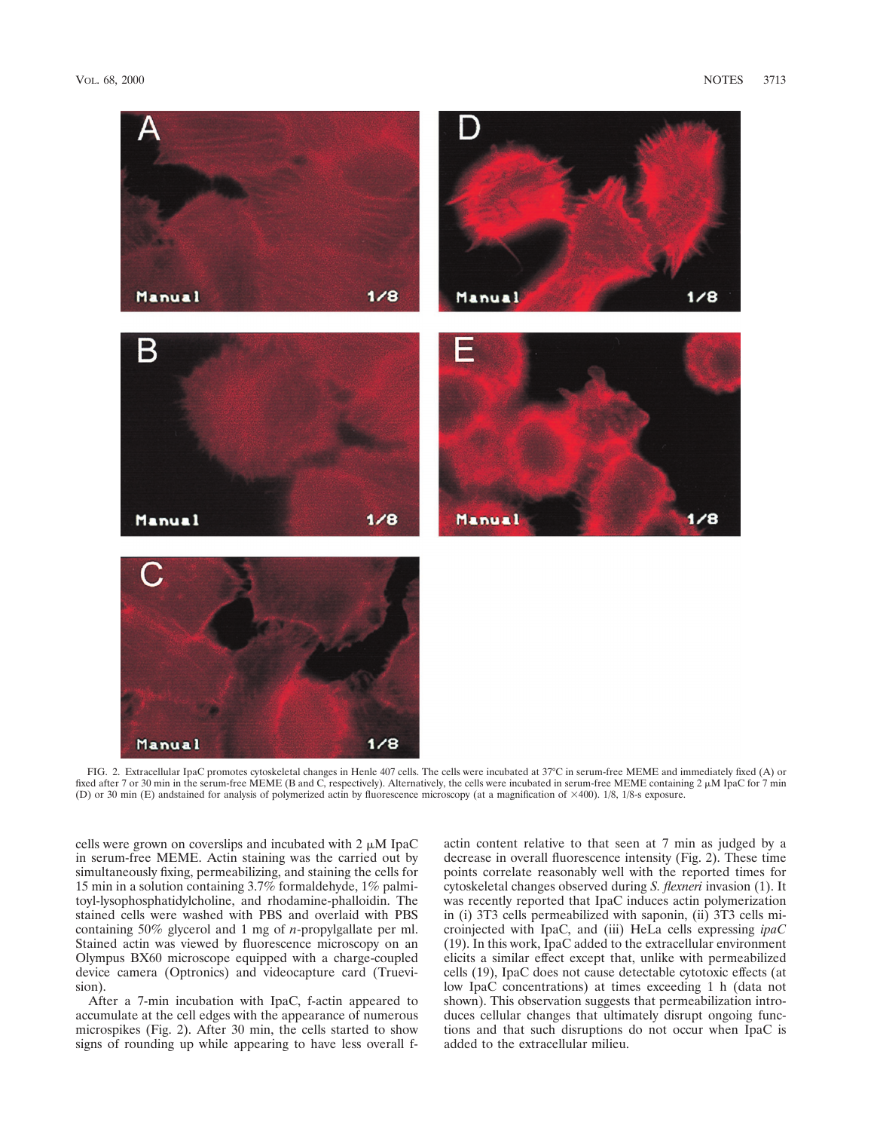

FIG. 2. Extracellular IpaC promotes cytoskeletal changes in Henle 407 cells. The cells were incubated at 37°C in serum-free MEME and immediately fixed (A) or fixed after 7 or 30 min in the serum-free MEME (B and C, respectively). Alternatively, the cells were incubated in serum-free MEME containing 2  $\mu$ M IpaC for 7 min (D) or 30 min (E) andstained for analysis of polymerized actin by fluorescence microscopy (at a magnification of 3400). 1/8, 1/8-s exposure.

cells were grown on coverslips and incubated with  $2 \mu M$  IpaC in serum-free MEME. Actin staining was the carried out by simultaneously fixing, permeabilizing, and staining the cells for 15 min in a solution containing 3.7% formaldehyde, 1% palmitoyl-lysophosphatidylcholine, and rhodamine-phalloidin. The stained cells were washed with PBS and overlaid with PBS containing 50% glycerol and 1 mg of *n*-propylgallate per ml. Stained actin was viewed by fluorescence microscopy on an Olympus BX60 microscope equipped with a charge-coupled device camera (Optronics) and videocapture card (Truevision).

After a 7-min incubation with IpaC, f-actin appeared to accumulate at the cell edges with the appearance of numerous microspikes (Fig. 2). After 30 min, the cells started to show signs of rounding up while appearing to have less overall factin content relative to that seen at 7 min as judged by a decrease in overall fluorescence intensity (Fig. 2). These time points correlate reasonably well with the reported times for cytoskeletal changes observed during *S. flexneri* invasion (1). It was recently reported that IpaC induces actin polymerization in (i) 3T3 cells permeabilized with saponin, (ii) 3T3 cells microinjected with IpaC, and (iii) HeLa cells expressing *ipaC* (19). In this work, IpaC added to the extracellular environment elicits a similar effect except that, unlike with permeabilized cells (19), IpaC does not cause detectable cytotoxic effects (at low IpaC concentrations) at times exceeding 1 h (data not shown). This observation suggests that permeabilization introduces cellular changes that ultimately disrupt ongoing functions and that such disruptions do not occur when IpaC is added to the extracellular milieu.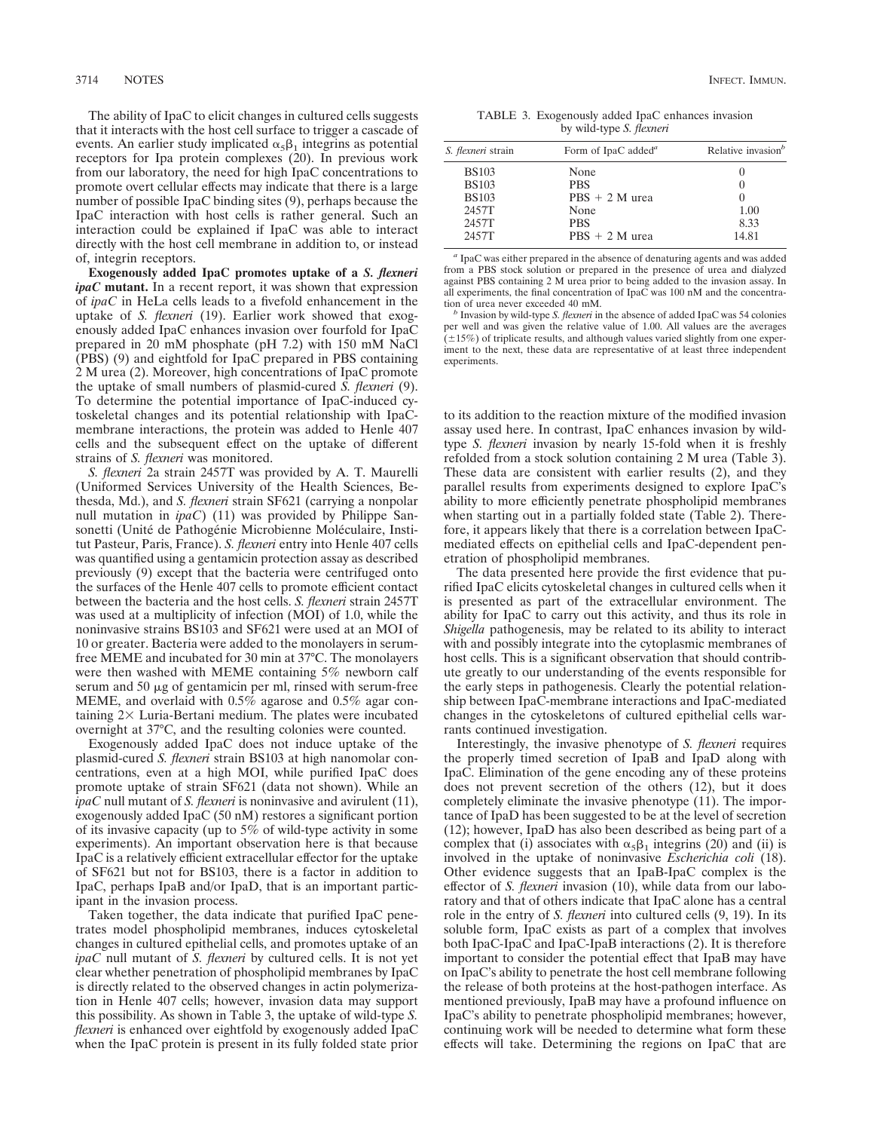The ability of IpaC to elicit changes in cultured cells suggests that it interacts with the host cell surface to trigger a cascade of events. An earlier study implicated  $\alpha_5\beta_1$  integrins as potential receptors for Ipa protein complexes (20). In previous work from our laboratory, the need for high IpaC concentrations to promote overt cellular effects may indicate that there is a large number of possible IpaC binding sites (9), perhaps because the IpaC interaction with host cells is rather general. Such an interaction could be explained if IpaC was able to interact directly with the host cell membrane in addition to, or instead of, integrin receptors.

**Exogenously added IpaC promotes uptake of a** *S. flexneri ipaC* **mutant.** In a recent report, it was shown that expression of *ipaC* in HeLa cells leads to a fivefold enhancement in the uptake of *S. flexneri* (19). Earlier work showed that exogenously added IpaC enhances invasion over fourfold for IpaC prepared in 20 mM phosphate (pH 7.2) with 150 mM NaCl (PBS) (9) and eightfold for IpaC prepared in PBS containing 2 M urea (2). Moreover, high concentrations of IpaC promote the uptake of small numbers of plasmid-cured *S. flexneri* (9). To determine the potential importance of IpaC-induced cytoskeletal changes and its potential relationship with IpaCmembrane interactions, the protein was added to Henle 407 cells and the subsequent effect on the uptake of different strains of *S. flexneri* was monitored.

*S. flexneri* 2a strain 2457T was provided by A. T. Maurelli (Uniformed Services University of the Health Sciences, Bethesda, Md.), and *S. flexneri* strain SF621 (carrying a nonpolar null mutation in *ipaC*) (11) was provided by Philippe Sansonetti (Unité de Pathogénie Microbienne Moléculaire, Institut Pasteur, Paris, France). *S. flexneri* entry into Henle 407 cells was quantified using a gentamicin protection assay as described previously (9) except that the bacteria were centrifuged onto the surfaces of the Henle 407 cells to promote efficient contact between the bacteria and the host cells. *S. flexneri* strain 2457T was used at a multiplicity of infection (MOI) of 1.0, while the noninvasive strains BS103 and SF621 were used at an MOI of 10 or greater. Bacteria were added to the monolayers in serumfree MEME and incubated for 30 min at 37°C. The monolayers were then washed with MEME containing 5% newborn calf serum and 50  $\mu$ g of gentamicin per ml, rinsed with serum-free MEME, and overlaid with 0.5% agarose and 0.5% agar containing  $2 \times$  Luria-Bertani medium. The plates were incubated overnight at 37°C, and the resulting colonies were counted.

Exogenously added IpaC does not induce uptake of the plasmid-cured *S. flexneri* strain BS103 at high nanomolar concentrations, even at a high MOI, while purified IpaC does promote uptake of strain SF621 (data not shown). While an *ipaC* null mutant of *S. flexneri* is noninvasive and avirulent (11), exogenously added IpaC (50 nM) restores a significant portion of its invasive capacity (up to 5% of wild-type activity in some experiments). An important observation here is that because IpaC is a relatively efficient extracellular effector for the uptake of SF621 but not for BS103, there is a factor in addition to IpaC, perhaps IpaB and/or IpaD, that is an important participant in the invasion process.

Taken together, the data indicate that purified IpaC penetrates model phospholipid membranes, induces cytoskeletal changes in cultured epithelial cells, and promotes uptake of an *ipaC* null mutant of *S. flexneri* by cultured cells. It is not yet clear whether penetration of phospholipid membranes by IpaC is directly related to the observed changes in actin polymerization in Henle 407 cells; however, invasion data may support this possibility. As shown in Table 3, the uptake of wild-type *S. flexneri* is enhanced over eightfold by exogenously added IpaC when the IpaC protein is present in its fully folded state prior

TABLE 3. Exogenously added IpaC enhances invasion by wild-type *S. flexneri*

| <i>S. flexneri</i> strain | Form of IpaC added <sup><i>a</i></sup> | Relative invasion <sup>b</sup> |
|---------------------------|----------------------------------------|--------------------------------|
| <b>BS103</b>              |                                        |                                |
| <b>BS103</b>              | None<br><b>PBS</b>                     | $\theta$                       |
| <b>BS103</b>              | $PBS + 2 M$ urea                       |                                |
| 2457T                     | None                                   | 1.00                           |
| 2457T                     | <b>PBS</b>                             | 8.33                           |
| 2457T                     | $PBS + 2 M$ urea                       | 14.81                          |

*<sup>a</sup>* IpaC was either prepared in the absence of denaturing agents and was added from a PBS stock solution or prepared in the presence of urea and dialyzed against PBS containing 2 M urea prior to being added to the invasion assay. In all experiments, the final concentration of IpaC was 100 nM and the concentration of urea never exceeded 40 mM.

Invasion by wild-type *S. flexneri* in the absence of added IpaC was 54 colonies per well and was given the relative value of 1.00. All values are the averages  $(±15%)$  of triplicate results, and although values varied slightly from one experiment to the next, these data are representative of at least three independent experiments.

to its addition to the reaction mixture of the modified invasion assay used here. In contrast, IpaC enhances invasion by wildtype *S. flexneri* invasion by nearly 15-fold when it is freshly refolded from a stock solution containing 2 M urea (Table 3). These data are consistent with earlier results (2), and they parallel results from experiments designed to explore IpaC's ability to more efficiently penetrate phospholipid membranes when starting out in a partially folded state (Table 2). Therefore, it appears likely that there is a correlation between IpaCmediated effects on epithelial cells and IpaC-dependent penetration of phospholipid membranes.

The data presented here provide the first evidence that purified IpaC elicits cytoskeletal changes in cultured cells when it is presented as part of the extracellular environment. The ability for IpaC to carry out this activity, and thus its role in *Shigella* pathogenesis, may be related to its ability to interact with and possibly integrate into the cytoplasmic membranes of host cells. This is a significant observation that should contribute greatly to our understanding of the events responsible for the early steps in pathogenesis. Clearly the potential relationship between IpaC-membrane interactions and IpaC-mediated changes in the cytoskeletons of cultured epithelial cells warrants continued investigation.

Interestingly, the invasive phenotype of *S. flexneri* requires the properly timed secretion of IpaB and IpaD along with IpaC. Elimination of the gene encoding any of these proteins does not prevent secretion of the others (12), but it does completely eliminate the invasive phenotype (11). The importance of IpaD has been suggested to be at the level of secretion (12); however, IpaD has also been described as being part of a complex that (i) associates with  $\alpha_5\beta_1$  integrins (20) and (ii) is involved in the uptake of noninvasive *Escherichia coli* (18). Other evidence suggests that an IpaB-IpaC complex is the effector of *S. flexneri* invasion (10), while data from our laboratory and that of others indicate that IpaC alone has a central role in the entry of *S. flexneri* into cultured cells (9, 19). In its soluble form, IpaC exists as part of a complex that involves both IpaC-IpaC and IpaC-IpaB interactions (2). It is therefore important to consider the potential effect that IpaB may have on IpaC's ability to penetrate the host cell membrane following the release of both proteins at the host-pathogen interface. As mentioned previously, IpaB may have a profound influence on IpaC's ability to penetrate phospholipid membranes; however, continuing work will be needed to determine what form these effects will take. Determining the regions on IpaC that are